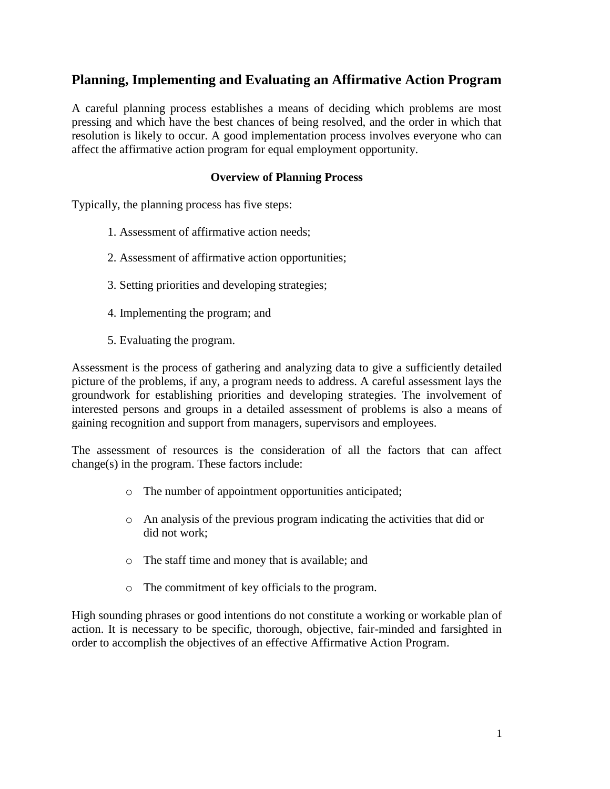# **Planning, Implementing and Evaluating an Affirmative Action Program**

A careful planning process establishes a means of deciding which problems are most pressing and which have the best chances of being resolved, and the order in which that resolution is likely to occur. A good implementation process involves everyone who can affect the affirmative action program for equal employment opportunity.

### **Overview of Planning Process**

Typically, the planning process has five steps:

- 1. Assessment of affirmative action needs;
- 2. Assessment of affirmative action opportunities;
- 3. Setting priorities and developing strategies;
- 4. Implementing the program; and
- 5. Evaluating the program.

Assessment is the process of gathering and analyzing data to give a sufficiently detailed picture of the problems, if any, a program needs to address. A careful assessment lays the groundwork for establishing priorities and developing strategies. The involvement of interested persons and groups in a detailed assessment of problems is also a means of gaining recognition and support from managers, supervisors and employees.

The assessment of resources is the consideration of all the factors that can affect change(s) in the program. These factors include:

- o The number of appointment opportunities anticipated;
- o An analysis of the previous program indicating the activities that did or did not work;
- o The staff time and money that is available; and
- o The commitment of key officials to the program.

High sounding phrases or good intentions do not constitute a working or workable plan of action. It is necessary to be specific, thorough, objective, fair-minded and farsighted in order to accomplish the objectives of an effective Affirmative Action Program.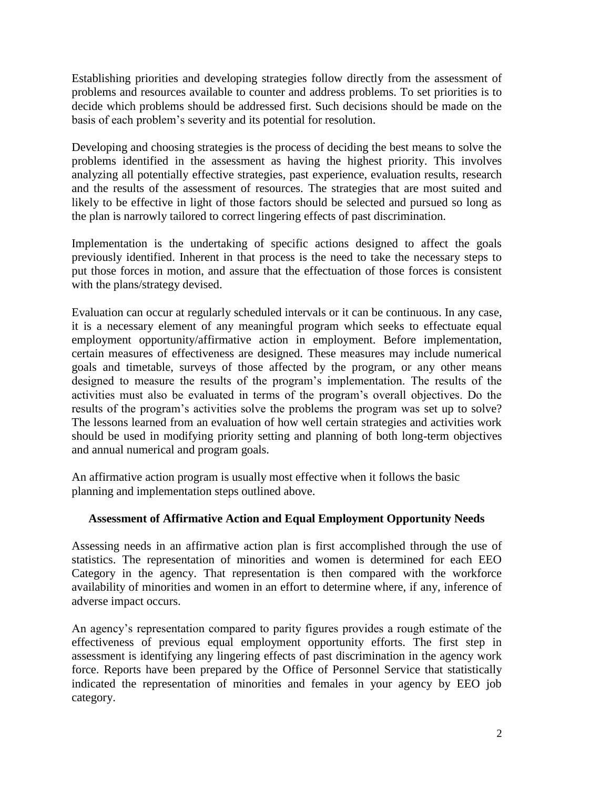Establishing priorities and developing strategies follow directly from the assessment of problems and resources available to counter and address problems. To set priorities is to decide which problems should be addressed first. Such decisions should be made on the basis of each problem's severity and its potential for resolution.

Developing and choosing strategies is the process of deciding the best means to solve the problems identified in the assessment as having the highest priority. This involves analyzing all potentially effective strategies, past experience, evaluation results, research and the results of the assessment of resources. The strategies that are most suited and likely to be effective in light of those factors should be selected and pursued so long as the plan is narrowly tailored to correct lingering effects of past discrimination.

Implementation is the undertaking of specific actions designed to affect the goals previously identified. Inherent in that process is the need to take the necessary steps to put those forces in motion, and assure that the effectuation of those forces is consistent with the plans/strategy devised.

Evaluation can occur at regularly scheduled intervals or it can be continuous. In any case, it is a necessary element of any meaningful program which seeks to effectuate equal employment opportunity/affirmative action in employment. Before implementation, certain measures of effectiveness are designed. These measures may include numerical goals and timetable, surveys of those affected by the program, or any other means designed to measure the results of the program's implementation. The results of the activities must also be evaluated in terms of the program's overall objectives. Do the results of the program's activities solve the problems the program was set up to solve? The lessons learned from an evaluation of how well certain strategies and activities work should be used in modifying priority setting and planning of both long-term objectives and annual numerical and program goals.

An affirmative action program is usually most effective when it follows the basic planning and implementation steps outlined above.

# **Assessment of Affirmative Action and Equal Employment Opportunity Needs**

Assessing needs in an affirmative action plan is first accomplished through the use of statistics. The representation of minorities and women is determined for each EEO Category in the agency. That representation is then compared with the workforce availability of minorities and women in an effort to determine where, if any, inference of adverse impact occurs.

An agency's representation compared to parity figures provides a rough estimate of the effectiveness of previous equal employment opportunity efforts. The first step in assessment is identifying any lingering effects of past discrimination in the agency work force. Reports have been prepared by the Office of Personnel Service that statistically indicated the representation of minorities and females in your agency by EEO job category.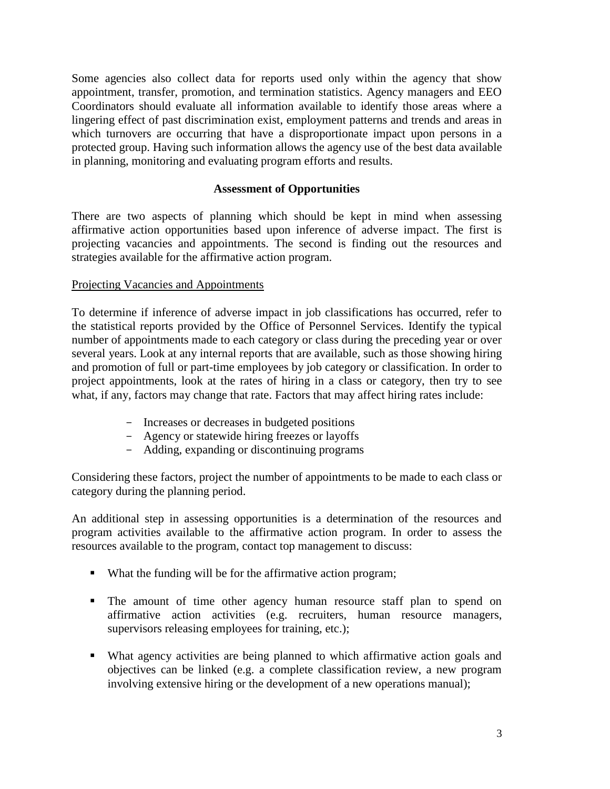Some agencies also collect data for reports used only within the agency that show appointment, transfer, promotion, and termination statistics. Agency managers and EEO Coordinators should evaluate all information available to identify those areas where a lingering effect of past discrimination exist, employment patterns and trends and areas in which turnovers are occurring that have a disproportionate impact upon persons in a protected group. Having such information allows the agency use of the best data available in planning, monitoring and evaluating program efforts and results.

### **Assessment of Opportunities**

There are two aspects of planning which should be kept in mind when assessing affirmative action opportunities based upon inference of adverse impact. The first is projecting vacancies and appointments. The second is finding out the resources and strategies available for the affirmative action program.

# Projecting Vacancies and Appointments

To determine if inference of adverse impact in job classifications has occurred, refer to the statistical reports provided by the Office of Personnel Services. Identify the typical number of appointments made to each category or class during the preceding year or over several years. Look at any internal reports that are available, such as those showing hiring and promotion of full or part-time employees by job category or classification. In order to project appointments, look at the rates of hiring in a class or category, then try to see what, if any, factors may change that rate. Factors that may affect hiring rates include:

- Increases or decreases in budgeted positions
- Agency or statewide hiring freezes or layoffs
- Adding, expanding or discontinuing programs

Considering these factors, project the number of appointments to be made to each class or category during the planning period.

An additional step in assessing opportunities is a determination of the resources and program activities available to the affirmative action program. In order to assess the resources available to the program, contact top management to discuss:

- What the funding will be for the affirmative action program;
- The amount of time other agency human resource staff plan to spend on affirmative action activities (e.g. recruiters, human resource managers, supervisors releasing employees for training, etc.);
- What agency activities are being planned to which affirmative action goals and objectives can be linked (e.g. a complete classification review, a new program involving extensive hiring or the development of a new operations manual);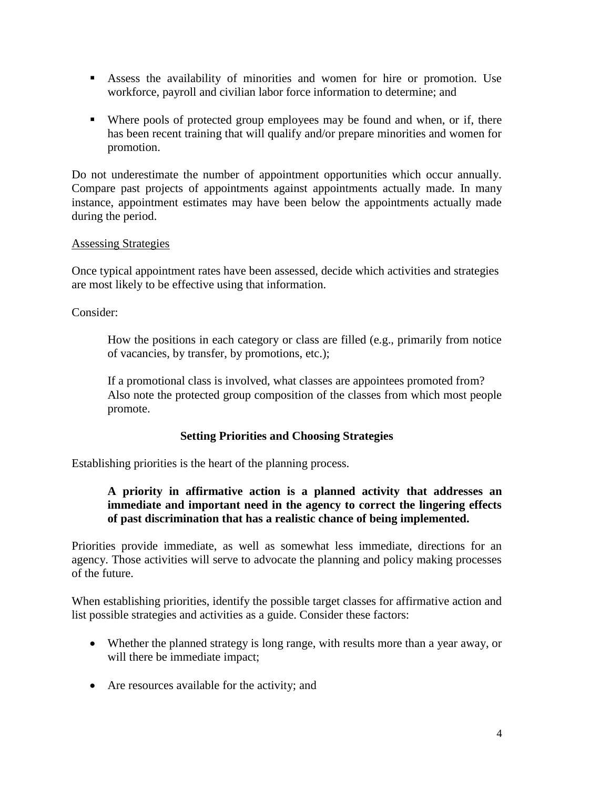- Assess the availability of minorities and women for hire or promotion. Use workforce, payroll and civilian labor force information to determine; and
- Where pools of protected group employees may be found and when, or if, there has been recent training that will qualify and/or prepare minorities and women for promotion.

Do not underestimate the number of appointment opportunities which occur annually. Compare past projects of appointments against appointments actually made. In many instance, appointment estimates may have been below the appointments actually made during the period.

# Assessing Strategies

Once typical appointment rates have been assessed, decide which activities and strategies are most likely to be effective using that information.

Consider:

How the positions in each category or class are filled (e.g., primarily from notice of vacancies, by transfer, by promotions, etc.);

If a promotional class is involved, what classes are appointees promoted from? Also note the protected group composition of the classes from which most people promote.

# **Setting Priorities and Choosing Strategies**

Establishing priorities is the heart of the planning process.

# **A priority in affirmative action is a planned activity that addresses an immediate and important need in the agency to correct the lingering effects of past discrimination that has a realistic chance of being implemented.**

Priorities provide immediate, as well as somewhat less immediate, directions for an agency. Those activities will serve to advocate the planning and policy making processes of the future.

When establishing priorities, identify the possible target classes for affirmative action and list possible strategies and activities as a guide. Consider these factors:

- Whether the planned strategy is long range, with results more than a year away, or will there be immediate impact;
- Are resources available for the activity; and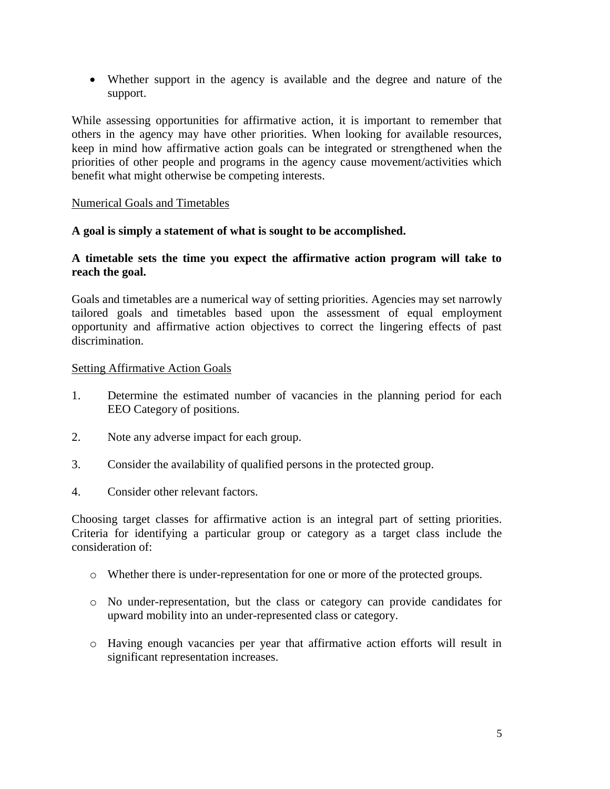Whether support in the agency is available and the degree and nature of the support.

While assessing opportunities for affirmative action, it is important to remember that others in the agency may have other priorities. When looking for available resources, keep in mind how affirmative action goals can be integrated or strengthened when the priorities of other people and programs in the agency cause movement/activities which benefit what might otherwise be competing interests.

#### Numerical Goals and Timetables

#### **A goal is simply a statement of what is sought to be accomplished.**

### **A timetable sets the time you expect the affirmative action program will take to reach the goal.**

Goals and timetables are a numerical way of setting priorities. Agencies may set narrowly tailored goals and timetables based upon the assessment of equal employment opportunity and affirmative action objectives to correct the lingering effects of past discrimination.

#### Setting Affirmative Action Goals

- 1. Determine the estimated number of vacancies in the planning period for each EEO Category of positions.
- 2. Note any adverse impact for each group.
- 3. Consider the availability of qualified persons in the protected group.
- 4. Consider other relevant factors.

Choosing target classes for affirmative action is an integral part of setting priorities. Criteria for identifying a particular group or category as a target class include the consideration of:

- o Whether there is under-representation for one or more of the protected groups.
- o No under-representation, but the class or category can provide candidates for upward mobility into an under-represented class or category.
- o Having enough vacancies per year that affirmative action efforts will result in significant representation increases.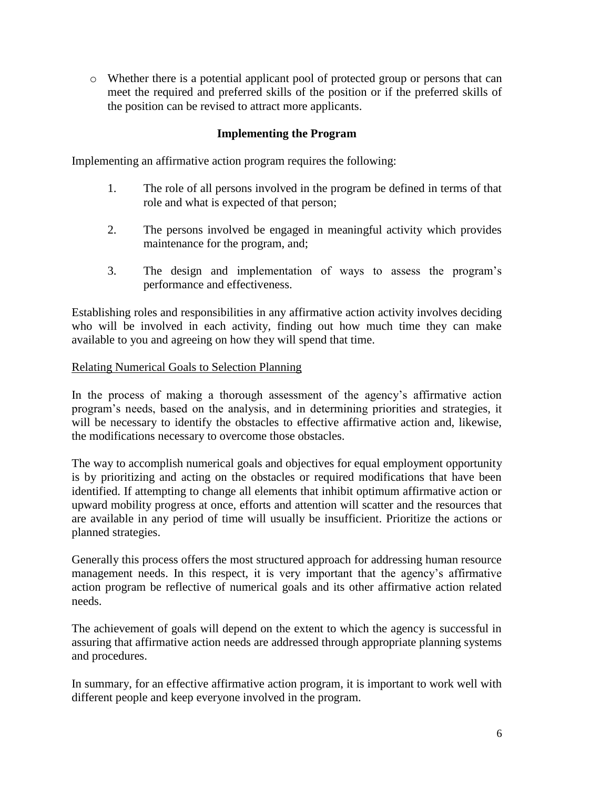o Whether there is a potential applicant pool of protected group or persons that can meet the required and preferred skills of the position or if the preferred skills of the position can be revised to attract more applicants.

# **Implementing the Program**

Implementing an affirmative action program requires the following:

- 1. The role of all persons involved in the program be defined in terms of that role and what is expected of that person;
- 2. The persons involved be engaged in meaningful activity which provides maintenance for the program, and;
- 3. The design and implementation of ways to assess the program's performance and effectiveness.

Establishing roles and responsibilities in any affirmative action activity involves deciding who will be involved in each activity, finding out how much time they can make available to you and agreeing on how they will spend that time.

#### Relating Numerical Goals to Selection Planning

In the process of making a thorough assessment of the agency's affirmative action program's needs, based on the analysis, and in determining priorities and strategies, it will be necessary to identify the obstacles to effective affirmative action and, likewise, the modifications necessary to overcome those obstacles.

The way to accomplish numerical goals and objectives for equal employment opportunity is by prioritizing and acting on the obstacles or required modifications that have been identified. If attempting to change all elements that inhibit optimum affirmative action or upward mobility progress at once, efforts and attention will scatter and the resources that are available in any period of time will usually be insufficient. Prioritize the actions or planned strategies.

Generally this process offers the most structured approach for addressing human resource management needs. In this respect, it is very important that the agency's affirmative action program be reflective of numerical goals and its other affirmative action related needs.

The achievement of goals will depend on the extent to which the agency is successful in assuring that affirmative action needs are addressed through appropriate planning systems and procedures.

In summary, for an effective affirmative action program, it is important to work well with different people and keep everyone involved in the program.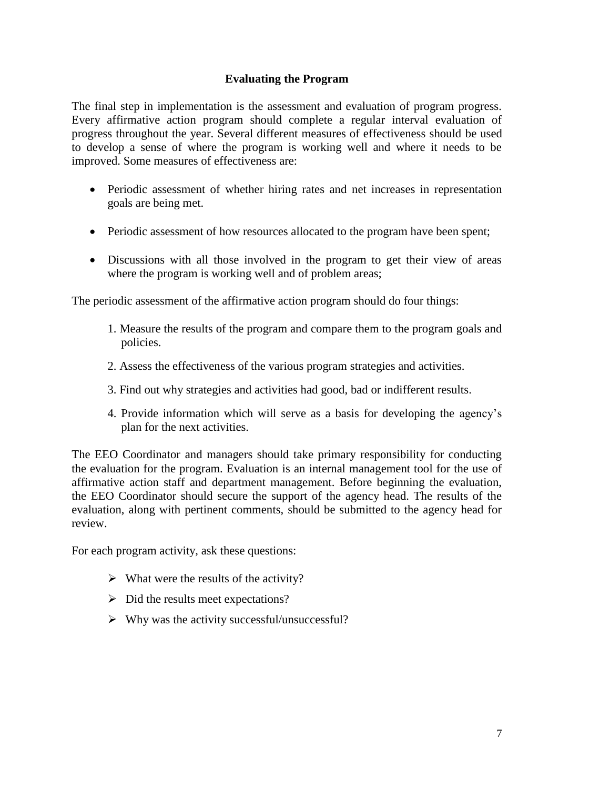# **Evaluating the Program**

The final step in implementation is the assessment and evaluation of program progress. Every affirmative action program should complete a regular interval evaluation of progress throughout the year. Several different measures of effectiveness should be used to develop a sense of where the program is working well and where it needs to be improved. Some measures of effectiveness are:

- Periodic assessment of whether hiring rates and net increases in representation goals are being met.
- Periodic assessment of how resources allocated to the program have been spent;
- Discussions with all those involved in the program to get their view of areas where the program is working well and of problem areas;

The periodic assessment of the affirmative action program should do four things:

- 1. Measure the results of the program and compare them to the program goals and policies.
- 2. Assess the effectiveness of the various program strategies and activities.
- 3. Find out why strategies and activities had good, bad or indifferent results.
- 4. Provide information which will serve as a basis for developing the agency's plan for the next activities.

The EEO Coordinator and managers should take primary responsibility for conducting the evaluation for the program. Evaluation is an internal management tool for the use of affirmative action staff and department management. Before beginning the evaluation, the EEO Coordinator should secure the support of the agency head. The results of the evaluation, along with pertinent comments, should be submitted to the agency head for review.

For each program activity, ask these questions:

- $\triangleright$  What were the results of the activity?
- $\triangleright$  Did the results meet expectations?
- $\triangleright$  Why was the activity successful/unsuccessful?